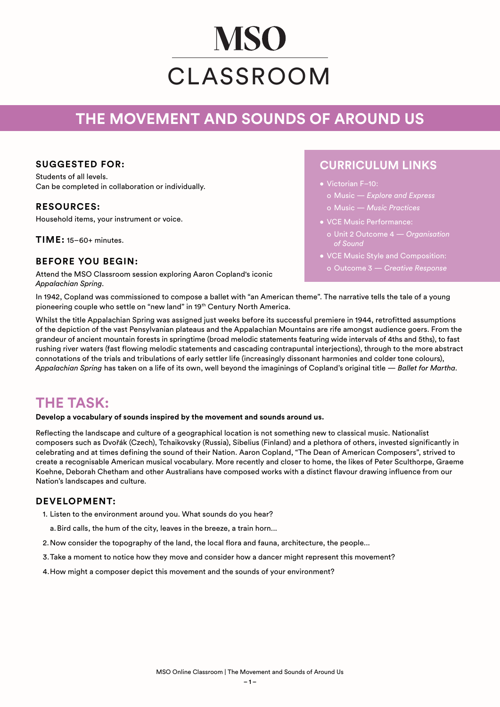# **MSO** CLASSROOM

## **THE MOVEMENT AND SOUNDS OF AROUND US**

#### **SUGGESTED FOR:**

Students of all levels. Can be completed in collaboration or individually.

#### **RESOURCES:**

Household items, your instrument or voice.

**TIME:** 15–60+ minutes.

#### **BEFORE YOU BEGIN:**

Attend the MSO Classroom session exploring Aaron Copland's iconic *Appalachian Spring*.

### **CURRICULUM LINKS**

- Victorian F–10:
	- o Music *Explore and Express* o Music — *Music Practices*
- VCE Music Performance:
- o Unit 2 Outcome 4 *Organisation of Sound*
- VCE Music Style and Composition:
	-

In 1942, Copland was commissioned to compose a ballet with "an American theme". The narrative tells the tale of a young pioneering couple who settle on "new land" in 19th Century North America.

Whilst the title Appalachian Spring was assigned just weeks before its successful premiere in 1944, retrofitted assumptions of the depiction of the vast Pensylvanian plateaus and the Appalachian Mountains are rife amongst audience goers. From the grandeur of ancient mountain forests in springtime (broad melodic statements featuring wide intervals of 4ths and 5ths), to fast rushing river waters (fast flowing melodic statements and cascading contrapuntal interjections), through to the more abstract connotations of the trials and tribulations of early settler life (increasingly dissonant harmonies and colder tone colours), *Appalachian Spring* has taken on a life of its own, well beyond the imaginings of Copland's original title — *Ballet for Martha*.

## **THE TASK:**

**Develop a vocabulary of sounds inspired by the movement and sounds around us.**

Reflecting the landscape and culture of a geographical location is not something new to classical music. Nationalist composers such as Dvořák (Czech), Tchaikovsky (Russia), Sibelius (Finland) and a plethora of others, invested significantly in celebrating and at times defining the sound of their Nation. Aaron Copland, "The Dean of American Composers", strived to create a recognisable American musical vocabulary. More recently and closer to home, the likes of Peter Sculthorpe, Graeme Koehne, Deborah Chetham and other Australians have composed works with a distinct flavour drawing influence from our Nation's landscapes and culture.

#### **DEVELOPMENT:**

- 1. Listen to the environment around you. What sounds do you hear?
- a.Bird calls, the hum of the city, leaves in the breeze, a train horn...
- 2.Now consider the topography of the land, the local flora and fauna, architecture, the people...
- 3.Take a moment to notice how they move and consider how a dancer might represent this movement?
- 4.How might a composer depict this movement and the sounds of your environment?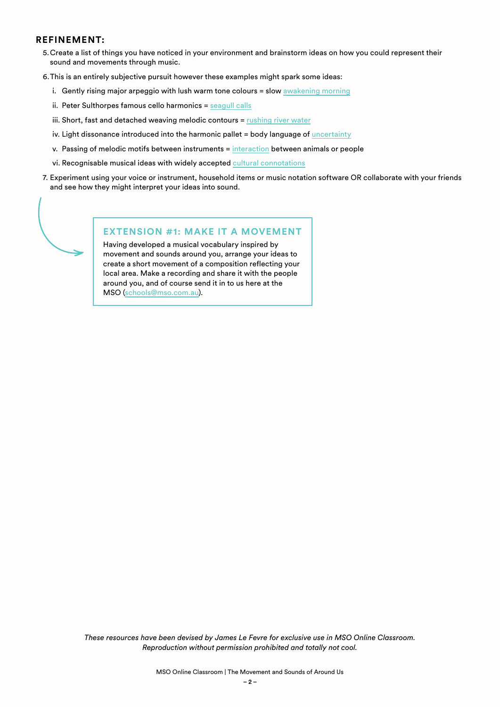#### **REFINEMENT:**

- 5.Create a list of things you have noticed in your environment and brainstorm ideas on how you could represent their sound and movements through music.
- 6.This is an entirely subjective pursuit however these examples might spark some ideas:
	- i. Gently rising major arpeggio with lush warm tone colours = slow [awakening morning](https://youtu.be/iOmh55H0D_A)
	- ii. Peter Sulthorpes famous cello harmonics = [seagull calls](https://www.youtube.com/watch?v=Jl1nY-Xd8IE)
	- iii. Short, fast and detached weaving melodic contours = [rushing river water](https://youtu.be/c91HUUP0f-0)
	- iv. Light dissonance introduced into the harmonic pallet = body language of [uncertainty](https://youtu.be/cWglAlVOmY4?t=39)
	- v. Passing of melodic motifs between instruments = [interaction](https://youtu.be/Fh0xf4M52Zg) between animals or people
	- vi. Recognisable musical ideas with widely accepted [cultural connotations](https://youtu.be/hMXyRLj9Q-Q)
- 7. Experiment using your voice or instrument, household items or music notation software OR collaborate with your friends and see how they might interpret your ideas into sound.



#### **EXTENSION #1: MAKE IT A MOVEMENT**

Having developed a musical vocabulary inspired by movement and sounds around you, arrange your ideas to create a short movement of a composition reflecting your local area. Make a recording and share it with the people around you, and of course send it in to us here at the MSO [\(schools@mso.com.au\)](mailto:schools%40mso.com.au?subject=).

*These resources have been devised by James Le Fevre for exclusive use in MSO Online Classroom. Reproduction without permission prohibited and totally not cool.*